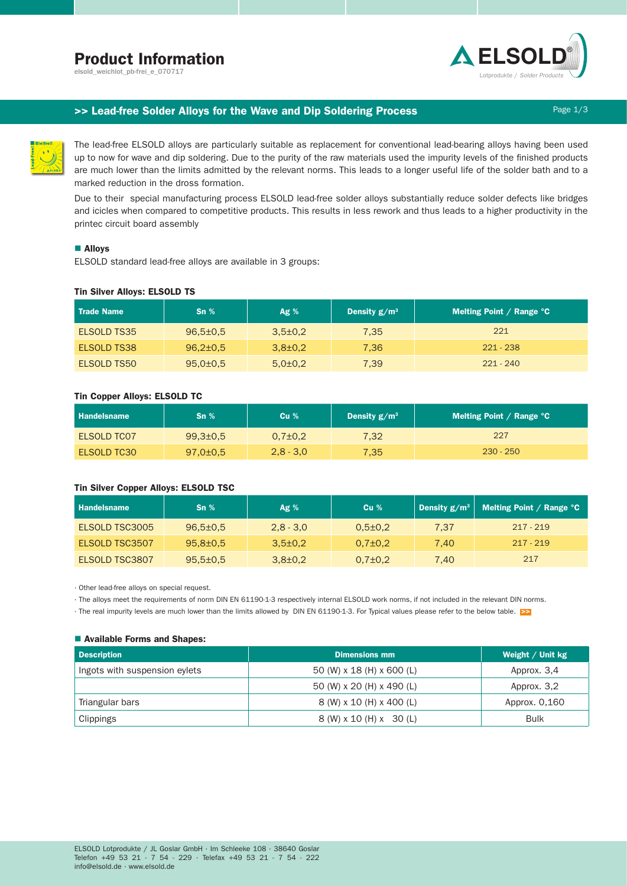# Product Information

elsold\_weichlot\_pb-frei\_e\_070717



## >> Lead-free Solder Alloys for the Wave and Dip Soldering Process Process Page 1/3

The lead-free ELSOLD alloys are particularly suitable as replacement for conventional lead-bearing alloys having been used up to now for wave and dip soldering. Due to the purity of the raw materials used the impurity levels of the finished products are much lower than the limits admitted by the relevant norms. This leads to a longer useful life of the solder bath and to a marked reduction in the dross formation.

Due to their special manufacturing process ELSOLD lead-free solder alloys substantially reduce solder defects like bridges and icicles when compared to competitive products. This results in less rework and thus leads to a higher productivity in the printec circuit board assembly

## ■ Alloys

ELSOLD standard lead-free alloys are available in 3 groups:

## Tin Silver Alloys: ELSOLD TS

| <b>Trade Name</b> | $\mathsf{Sn}\ \%$ | Ag%           | Density $g/m^3$ | Melting Point / Range $^{\circ}$ C |
|-------------------|-------------------|---------------|-----------------|------------------------------------|
| ELSOLD TS35       | $96,5{\pm}0.5$    | $3.5 \pm 0.2$ | 7.35            | 221                                |
| ELSOLD TS38       | $96,2{\pm}0.5$    | $3,8{\pm}0.2$ | 7.36            | $221 - 238$                        |
| ELSOLD TS50       | $95,0{\pm}0.5$    | $5.0 \pm 0.2$ | 7,39            | $221 - 240$                        |

## Tin Copper Alloys: ELSOLD TC

| <b>Handelsname</b> | $\mathsf{Sn}\ \%$ | Cu <sub>%</sub> | Density $g/m^3$ | Melting Point / Range $^{\circ}$ C |
|--------------------|-------------------|-----------------|-----------------|------------------------------------|
| ELSOLD TCO7        | $99.3 \pm 0.5$    | $0.7 \pm 0.2$   | 7.32            | 227                                |
| <b>ELSOLD TC30</b> | $97,0{\pm}0.5$    | $2.8 - 3.0$     | 7.35            | $230 - 250$                        |

## Tin Silver Copper Alloys: ELSOLD TSC

| <b>Handelsname</b> | $\mathsf{Sn}\ \%$ | Ag%           | Cu <sub>%</sub> |      | Density g/m <sup>3</sup>   Melting Point / Range °C |
|--------------------|-------------------|---------------|-----------------|------|-----------------------------------------------------|
| ELSOLD TSC3005     | $96.5 \pm 0.5$    | $2.8 - 3.0$   | $0.5 \pm 0.2$   | 7.37 | $217 - 219$                                         |
| ELSOLD TSC3507     | $95.8 \pm 0.5$    | $3,5\pm0.2$   | $0.7 \pm 0.2$   | 7.40 | $217 - 219$                                         |
| ELSOLD TSC3807     | $95,5 \pm 0.5$    | $3,8{\pm}0.2$ | $0.7 \pm 0.2$   | 7.40 | 217                                                 |

· Other lead-free alloys on special request.

· The alloys meet the requirements of norm DIN EN 61190-1-3 respectively internal ELSOLD work norms, if not included in the relevant DIN norms.

· The real impurity levels are much lower than the limits allowed by DIN EN 61190-1-3. For Typical values please refer to the below table. >>

## ■ Available Forms and Shapes:

| <b>Description</b>            | <b>Dimensions mm</b>      | Weight $/$ Unit kg |
|-------------------------------|---------------------------|--------------------|
| Ingots with suspension eylets | 50 (W) x 18 (H) x 600 (L) | Approx. 3,4        |
|                               | 50 (W) x 20 (H) x 490 (L) | Approx. 3.2        |
| Triangular bars               | 8 (W) x 10 (H) x 400 (L)  | Approx. 0,160      |
| Clippings                     | 8 (W) x 10 (H) x 30 (L)   | <b>Bulk</b>        |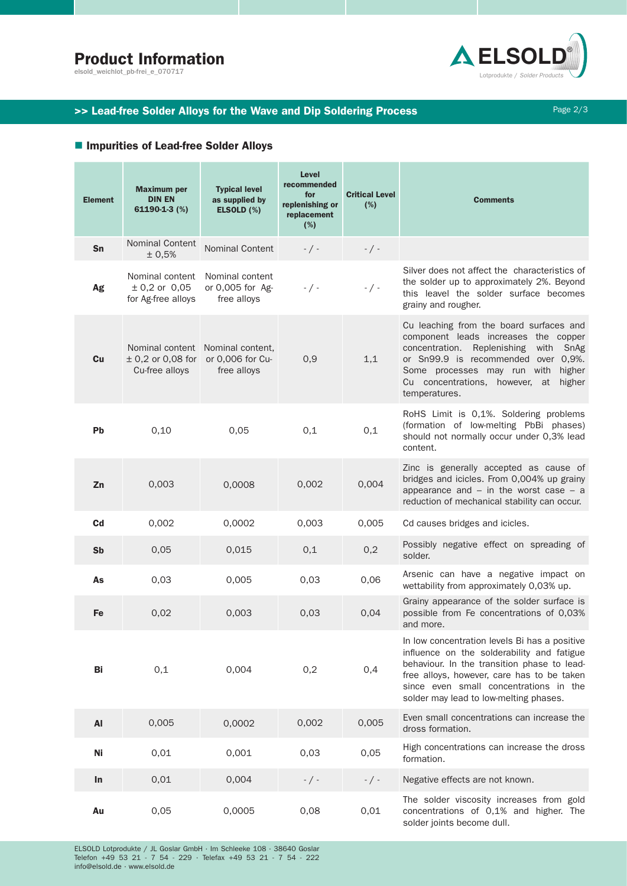# Product Information

elsold\_weichlot\_pb-frei\_e\_070717



## >> Lead-free Solder Alloys for the Wave and Dip Soldering Process Page 2/3

## ■ Impurities of Lead-free Solder Alloys

| <b>Element</b> | <b>Maximum per</b><br><b>DIN EN</b><br>61190-1-3 (%)     | <b>Typical level</b><br>as supplied by<br>ELSOLD (%) | Level<br>recommended<br>for<br>replenishing or<br>replacement<br>(%) | <b>Critical Level</b><br>(%) | <b>Comments</b>                                                                                                                                                                                                                                                              |
|----------------|----------------------------------------------------------|------------------------------------------------------|----------------------------------------------------------------------|------------------------------|------------------------------------------------------------------------------------------------------------------------------------------------------------------------------------------------------------------------------------------------------------------------------|
| Sn             | <b>Nominal Content</b><br>± 0,5%                         | <b>Nominal Content</b>                               | $-$ / $-$                                                            | $-$ / $-$                    |                                                                                                                                                                                                                                                                              |
| Ag             | Nominal content<br>$± 0,2$ or 0,05<br>for Ag-free alloys | Nominal content<br>or 0,005 for Ag-<br>free alloys   | $-$ / $-$                                                            | $-$ / $-$                    | Silver does not affect the characteristics of<br>the solder up to approximately 2%. Beyond<br>this leavel the solder surface becomes<br>grainy and rougher.                                                                                                                  |
| Cu             | ± 0,2 or 0,08 for or 0,006 for Cu-<br>Cu-free alloys     | Nominal content Nominal content,<br>free alloys      | 0,9                                                                  | 1,1                          | Cu leaching from the board surfaces and<br>component leads increases the copper<br>concentration. Replenishing with SnAg<br>or Sn99.9 is recommended over 0,9%.<br>Some processes may run with<br>higher<br>Cu concentrations, however, at higher<br>temperatures.           |
| <b>Pb</b>      | 0,10                                                     | 0.05                                                 | 0,1                                                                  | 0,1                          | RoHS Limit is 0,1%. Soldering problems<br>(formation of low-melting PbBi phases)<br>should not normally occur under 0,3% lead<br>content.                                                                                                                                    |
| Zn             | 0,003                                                    | 0,0008                                               | 0,002                                                                | 0,004                        | Zinc is generally accepted as cause of<br>bridges and icicles. From 0,004% up grainy<br>appearance and $-$ in the worst case $-$ a<br>reduction of mechanical stability can occur.                                                                                           |
| C <sub>d</sub> | 0,002                                                    | 0,0002                                               | 0,003                                                                | 0,005                        | Cd causes bridges and icicles.                                                                                                                                                                                                                                               |
| Sb             | 0,05                                                     | 0,015                                                | 0,1                                                                  | 0,2                          | Possibly negative effect on spreading of<br>solder.                                                                                                                                                                                                                          |
| As             | 0,03                                                     | 0,005                                                | 0,03                                                                 | 0,06                         | Arsenic can have a negative impact on<br>wettability from approximately 0,03% up.                                                                                                                                                                                            |
| Fe             | 0,02                                                     | 0,003                                                | 0,03                                                                 | 0,04                         | Grainy appearance of the solder surface is<br>possible from Fe concentrations of 0,03%<br>and more.                                                                                                                                                                          |
| Bi             | 0,1                                                      | 0,004                                                | 0,2                                                                  | 0,4                          | In low concentration levels Bi has a positive<br>influence on the solderability and fatigue<br>behaviour. In the transition phase to lead-<br>free alloys, however, care has to be taken<br>since even small concentrations in the<br>solder may lead to low-melting phases. |
| AI             | 0,005                                                    | 0,0002                                               | 0,002                                                                | 0,005                        | Even small concentrations can increase the<br>dross formation.                                                                                                                                                                                                               |
| Ni             | 0,01                                                     | 0,001                                                | 0,03                                                                 | 0,05                         | High concentrations can increase the dross<br>formation.                                                                                                                                                                                                                     |
| In             | 0,01                                                     | 0,004                                                | $-$ / $-$                                                            | $-$ / $-$                    | Negative effects are not known.                                                                                                                                                                                                                                              |
| Au             | 0,05                                                     | 0,0005                                               | 0,08                                                                 | 0,01                         | The solder viscosity increases from gold<br>concentrations of 0,1% and higher. The<br>solder joints become dull.                                                                                                                                                             |